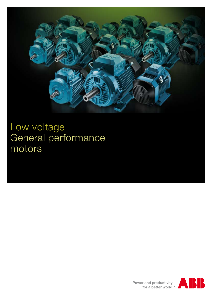

Low voltage General performance motors

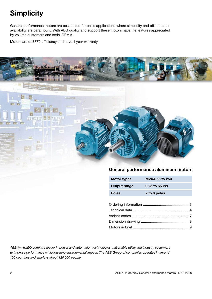# **Simplicity**

General performance motors are best suited for basic applications where simplicity and off-the-shelf availability are paramount. With ABB quality and support these motors have the features appreciated by volume customers and serial OEM's.

Motors are of EFF2 efficiency and have 1 year warranty.



# **General performance aluminum motors**

| <b>Motor types</b>  | M2AA 56 to 250 |
|---------------------|----------------|
| <b>Output range</b> | 0.25 to 55 kW  |
| <b>Poles</b>        | 2 to 6 poles   |

*ABB (www.abb.com) is a leader in power and automation technologies that enable utility and industry customers to improve performance while lowering environmental impact. The ABB Group of companies operates in around 100 countries and employs about 120,000 people.*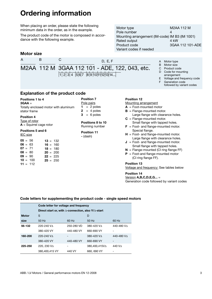# **Ordering information**

When placing an order, please state the following minimum data in the order, as in the example.

The product code of the motor is composed in accordance with the following example.

# **Motor size**



# **Explanation of the product code**

## **Positions 1 to 4**

**3GAA** = Totally enclosed motor with aluminum stator frame

### **Position 4**

Type of rotor **A** = Squirrel cage rotor

### **Positions 5 and 6**

| $05 = 56$  | $13 = 132$ |
|------------|------------|
| $06 = 63$  | $16 = 160$ |
| $07 = 71$  | $18 = 180$ |
| $08 = 80$  | $20 = 200$ |
| $09 = 90$  | $22 = 225$ |
| $10 = 100$ | $25 = 250$ |
| $11 = 112$ |            |

### **Position 7** Pole pairs  $1 = 2$  poles  $2 = 4$  poles  $3 = 6$  poles

## **Positions 8 to 10** Running number

**Position 11 ‑** (dash)

# Motor type M2AA 112 M Pole number 4 Mounting arrangement (IM-code) IM B3 (IM 1001) Rated output 4 kW Product code 3GAA 112 101-ADE Variant codes if needed

# A Motor type

- B Motor size
- C Product code
- D Code for mounting arrangement
- E Voltage and frequency code F Generation code
- followed by variant codes

# **Position 12**

- Mounting arrangement
- **A** = Foot-mounted motor
- **B** = Flange-mounted motor.
- Large flange with clearance holes. **C** = Flange-mounted motor.
- Small flange with tapped holes. **F** = Foot- and flange-mounted motor.
- Special flange.
- **H** = Foot- and flange-mounted motor. Large flange with clearance holes.
- $J =$  Foot- and flange-mounted motor. Small flange with tapped holes.
- $N =$  Flange-mounted (CI ring flange FF)
- **P** = Foot-and flange-mounted motor (CI ring flange FF).

# **Position 13**

Voltage and frequency: See tables below

### **Position 14** Version **A,B,C,D,E,G...** = Generation code followed by variant codes

# **Code letters for supplementing the product code - single speed motors**

|              | Code letter for voltage and frequency                               |            |               |                    |  |  |  |  |  |  |  |  |  |  |
|--------------|---------------------------------------------------------------------|------------|---------------|--------------------|--|--|--|--|--|--|--|--|--|--|
|              | Direct start or, with $\Delta$ -connection, also Y/ $\Delta$ -start |            |               |                    |  |  |  |  |  |  |  |  |  |  |
| <b>Motor</b> | S<br>D                                                              |            |               |                    |  |  |  |  |  |  |  |  |  |  |
| size         | 50 Hz                                                               | 60 Hz      | 50 Hz         | 60 Hz              |  |  |  |  |  |  |  |  |  |  |
| 56-132       | $220 - 240$ VA                                                      | 250-280 VD | 380-420 VA    | 440-480 VA         |  |  |  |  |  |  |  |  |  |  |
|              | 380-420 VY                                                          | 440-480 VY | 660-690 VY    |                    |  |  |  |  |  |  |  |  |  |  |
| 160-200      | $220 - 240$ VA                                                      |            | 380-420 VA    | 440-480 VA         |  |  |  |  |  |  |  |  |  |  |
|              | 380-420 VY                                                          | 440-480 VY | 660-690 VY    |                    |  |  |  |  |  |  |  |  |  |  |
| 225-250      | 220. 230 VA                                                         |            | 380.400.415VA | 440 V <sub>A</sub> |  |  |  |  |  |  |  |  |  |  |
|              | 380.400.415 VY                                                      | 440 VY     | 660, 690 VY   |                    |  |  |  |  |  |  |  |  |  |  |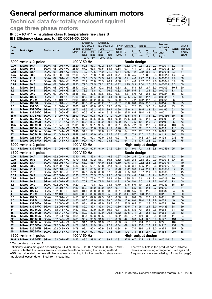**Technical data for totally enclosed squirrel**



|              | EFF 2<br>V1000030<br><b>Technical data for totally enclosed squirrel</b>                                         |                                            |              |                                                                                                                                                                              |              |                              |                   |               |               |                 |                      |            |                           |             |                               |                                                                                             |            |                          |
|--------------|------------------------------------------------------------------------------------------------------------------|--------------------------------------------|--------------|------------------------------------------------------------------------------------------------------------------------------------------------------------------------------|--------------|------------------------------|-------------------|---------------|---------------|-----------------|----------------------|------------|---------------------------|-------------|-------------------------------|---------------------------------------------------------------------------------------------|------------|--------------------------|
|              | cage three phase motors                                                                                          |                                            |              |                                                                                                                                                                              |              |                              |                   |               |               |                 |                      |            |                           |             |                               |                                                                                             |            |                          |
|              | IP 55 - IC 411 - Insulation class F, temperature rise class B<br>IE1 Efficiency class acc. to IEC 60034-30; 2008 |                                            |              |                                                                                                                                                                              |              |                              |                   |               |               |                 |                      |            |                           |             |                               |                                                                                             |            |                          |
|              |                                                                                                                  |                                            |              |                                                                                                                                                                              |              |                              | Efficiency        |               | Efficiency    |                 |                      |            |                           |             |                               | Moment                                                                                      |            |                          |
| Out-         |                                                                                                                  |                                            |              |                                                                                                                                                                              | Speed        | IEC 60034-<br>$2 - 1$ ; 2007 |                   | 1996          | IEC 60034-2;  | Power<br>factor | Current              |            | Torque                    |             |                               | of inertia                                                                                  |            | Sound<br>Weight pressure |
| put<br>kW    | Motor type                                                                                                       |                                            | Product code |                                                                                                                                                                              | r/min        | Full                         | 3/4               | Full          | 3/4           | $cos \varphi$   | $I_{N}$              |            | $T_{N}$                   | T,          | $\underline{T}_{\text{max}}$  | $J = 1/4$<br>GD <sup>2</sup>                                                                | kg         | level LP                 |
|              |                                                                                                                  |                                            |              |                                                                                                                                                                              |              | load                         | load<br>100% 75%  | load<br>100%  | load<br>75%   | 100%            | A                    | $I_{N}$    | Nm                        | $T_{N}$     | $T_{\scriptscriptstyle\rm N}$ | kgm <sup>2</sup>                                                                            |            | dB(A)                    |
|              |                                                                                                                  | $3000$ r/min = 2-poles                     |              |                                                                                                                                                                              | 400 V 50 Hz  |                              |                   |               |               |                 |                      |            | <b>Basic design</b>       |             |                               |                                                                                             |            |                          |
| 0.09<br>0.12 | <b>M2AA 56 A</b><br><b>M2AA 56 B</b>                                                                             |                                            | 3GAA<br>3GAA | 051 001-••A<br>051 002-••A                                                                                                                                                   | 2820<br>2840 | 59.8<br>67.2                 | 53.3<br>63.8      | 60.2<br>67.5  | 53.7<br>64.1  | 0.69<br>0.64    | 0.32<br>0.41         | 3.9<br>4.1 | 0.31<br>0.41              | 2.9<br>3.2  | 2.7<br>2.8                    | 0.00011<br>0.00012                                                                          | 3.2<br>3.4 | 48<br>48                 |
| 0.18         | M2AA 63 A                                                                                                        |                                            | 3GAA         | 061 001- $\bullet$ C                                                                                                                                                         | 2820         | 73.7                         | 70.6              | 74.2          | 71.0          | 0.64            | 0.56                 | 4.2        | 0.62                      | 3.5         | 3.1                           | 0.00013                                                                                     | 3.9        | 54                       |
| 0.25         | M2AA 63 B                                                                                                        |                                            | 3GAA         | 061 002- $\bullet$ C                                                                                                                                                         | 2810         | 77.5                         | 75.8              | 78.0          | 76.1          | 0.71            | 0.66                 | -4.5       | $0.87$ 3.6                |             | 3.3                           | 0.00016                                                                                     | 4.4        | 54                       |
| 0.37<br>0.55 | <b>M2AA 71 A</b><br><b>M2AA 71 B</b>                                                                             |                                            | 3GAA<br>3GAA | 071 001- $\bullet\bullet$ E<br>071 002-••E                                                                                                                                   | 2780<br>2800 | 74.5<br>76.2                 | 74.5<br>76.0      | 74.9<br>76.5  | 74.9<br>76.4  | 0.80<br>0.80    | 0.9<br>1.3           | 4.6<br>4.8 | 1.27<br>1.87              | 2.4<br>2.6  | 2.4<br>2.6                    | 0.00035<br>0.00045                                                                          | 4.9<br>5.9 | 58<br>58                 |
| 0.75         | <b>M2AA 80 A</b>                                                                                                 |                                            | 3GAA         | 081 001- $\bullet \bullet$ E                                                                                                                                                 | 2820         | 77.0                         | 77.5              | 77.2          | 77.9          | 0.82            | 1.75                 | 5.3        | 2.54                      | 2.6         | 3.0                           | 0.00069                                                                                     | 8.5        | 60                       |
| 1.1          | <b>M2AA 80 B</b>                                                                                                 |                                            | 3GAA         | 081 002-••E                                                                                                                                                                  | 2840         | 80.0                         | 80.5              | 80.2          | 80.8          | 0.83            | 2.4                  | 5.8        | 3.7                       | 2.7         | 3.0                           | 0.0009                                                                                      | 10.5       | 60                       |
| 1.5<br>2.2   | <b>M2AA 90 S</b><br><b>M2AA 90 L</b>                                                                             |                                            | 3GAA<br>3GAA | 091 001- $\bullet\bullet$ E<br>091 002-••E                                                                                                                                   | 2870<br>2885 | 78.9<br>82.1                 | 76.8<br>82.5      | 80.1<br>83.6  | 76.2<br>83.9  | 0.82<br>0.87    | 3.35<br>4.37 6.0     | 5.5        | 5<br>7.5                  | 2.4<br>2.5  | 3.0<br>3.0                    | 0.0019<br>0.0024                                                                            | 13<br>16   | 63<br>63                 |
| 3            | M2AA 100 L                                                                                                       |                                            | 3GAA         | 101 001-••E                                                                                                                                                                  | 2900         | 85.2                         | 85.4              | 86.0          | 84.1          | 0.88            | 5.95                 | 7.5        | 10                        | 2.7         | 3.6                           | 0.0041                                                                                      | 21         | 65                       |
| 4            |                                                                                                                  | M2AA 112 M                                 | 3GAA         | 111 101-••E                                                                                                                                                                  | 2895         | 84.8                         | 85.2              | 85.6          | 86.2          | 0.89            | 7.6                  | 7.2        | 13.2                      | 2.7         | 3.3                           | 0.0061                                                                                      | 26         | 67                       |
| 5.5<br>7.5   |                                                                                                                  | M2AA 132 SA<br><b>M2AA 132 SB</b>          | 3GAA<br>3GAA | 131 001-••E<br>131 002-••E                                                                                                                                                   | 2845         | 85.8                         | 86.4              | 86.2<br>88.3  | 87.0          | 0.87            | 10.8<br>14           | 6.8<br>7.2 | 18.5<br>25.1              | 2.8<br>3.0  | 3.2<br>3.4                    | 0.014<br>0.016                                                                              | 38<br>43   | 75                       |
| 11           |                                                                                                                  | M2AA 132 SMA                               | 3GAA         | 131 005-••E                                                                                                                                                                  | 2860<br>2875 | 87.0<br>88.5                 | 88.0<br>89.2      | 89.5          | 89.0<br>89.7  | 0.89<br>0.90    | 19.9                 | 8.1        | 36.5                      | 2.8         | 3.4                           | 0.0165                                                                                      | 63         | 73<br>69                 |
| 15           |                                                                                                                  | M2AA 132 SMC                               | 3GAA         | 131 006-••E                                                                                                                                                                  | 2900         | 90.5                         | 90.8              | 91.6          | 91.8          | 0.88            | 27.5                 | 8.5        | 49.4                      | 3.3         | 4.0                           | 0.02                                                                                        | 81         | 69                       |
| 18.5         |                                                                                                                  | <b>M2AA 132 SMD</b>                        | 3GAA         | 131 007- $\bullet\bullet$ E                                                                                                                                                  | 2890         | 90.0                         | 90.8              | 90.5          | 91.2          | 0.90            | 33.5                 | 8.5        | 61                        | 3.4         | 3.7                           | 0.02356                                                                                     | 89         | 68                       |
| 11<br>15     |                                                                                                                  | <b>M2AA 160 MLA</b><br><b>M2AA 160 MLB</b> | 3GAA<br>3GAA | 161 041-••G<br>161 042-••G                                                                                                                                                   | 2916<br>2914 | 88.0<br>89.1                 | 88.5<br>89.7      | 88.6<br>89.9  | 89.1<br>90.5  | 0.89<br>0.90    | 20.5<br>27           | 6.8<br>7.5 | 36<br>49                  | 2.1<br>2.5  | 2.7<br>3.1                    | 0.039<br>0.049                                                                              | 82<br>96   | 73<br>73                 |
| 18.5         |                                                                                                                  | M2AA 160 MLC                               | 3GAA         | 161 043-••G                                                                                                                                                                  | 2935         | 89.8                         | 90.1              | 90.5          | 90.8          | 0.91            | 32.5                 | 7.2        | 60                        | 2.2         | 3.2                           | 0.054                                                                                       | 104        | 73                       |
| 22           |                                                                                                                  | <b>M2AA 180 MLA</b>                        | 3GAA         | 181 041-••G                                                                                                                                                                  | 2928         | 90.4                         | 90.6              | 91.0          | 91.2          | 0.90            | 39                   | 7.7        | 72                        | 2.8         | 3.3                           | 0.059                                                                                       | 118        | 75                       |
| 30<br>37     |                                                                                                                  | <b>M2AA 200 MLA</b><br><b>M2AA 200 MLB</b> | 3GAA<br>3GAA | 201 041-••G                                                                                                                                                                  | 2948         | 91.1                         | 91.1<br>92.0      | 91.8<br>92.4  | 91.8<br>92.8  | 0.88<br>0.92    | 54<br>63             | 7.7<br>7.9 | 97<br>120                 | 2.8<br>2.5  | 3.6<br>3.4                    | 0.093                                                                                       | 160        | 75<br>75                 |
| 45           |                                                                                                                  | <b>M2AA 225 SMA</b>                        | 3GAA         | 201 042-••G<br>221 041-••G                                                                                                                                                   | 2949<br>2948 | 91.6<br>92.1                 | 92.3              | 92.9          | 93.1          | 0.91            | 78                   | 7.7        | 146                       | 2.7         | 2.9                           | 0.118<br>0.198                                                                              | 185<br>236 | 75                       |
| 55           |                                                                                                                  | <b>M2AA 250 SMA</b>                        | 3GAA         | 251 041-∙∙G                                                                                                                                                                  | 2964         | 92.4                         | 92.4              | 93.3          | 93.3          | 0.91            | 94                   | 7.3        | 177                       |             | $2.3$ 2.3                     | 0.281                                                                                       | 295        | 75                       |
|              |                                                                                                                  | $3000$ r/min = 2-poles                     |              |                                                                                                                                                                              |              |                              |                   |               |               |                 |                      |            | High-output design        |             |                               |                                                                                             |            |                          |
|              |                                                                                                                  |                                            |              |                                                                                                                                                                              | 400 V 50 Hz  |                              |                   |               |               |                 |                      |            |                           |             |                               |                                                                                             |            |                          |
| 1)<br>22     |                                                                                                                  | <b>M2AA 132 SME</b>                        | 3GAA         | 131 008-••E                                                                                                                                                                  | 2895         | 90.0                         | 90.5              | 91.0          | 91.5          | 0.88            | 40                   | 9.0        | 72                        | 3.8         | 3.8                           | 0.02559                                                                                     | 95         | 69                       |
|              |                                                                                                                  | 1500 $r/min = 4-poles$                     |              |                                                                                                                                                                              | 400 V 50 Hz  |                              |                   |               |               |                 |                      |            | <b>Basic design</b>       |             |                               |                                                                                             |            |                          |
| 0.06         | <b>M2AA 56 A</b>                                                                                                 |                                            | 3GAA         | 052 001- $\bullet$ A                                                                                                                                                         | 1340         | 51.1                         | 45.8              | 51.3          | 46.2          | 0.67            | 0.26                 | 2.5        | 0.43                      | 2.2         | 2.2                           | 0.00017                                                                                     | 3.2        | 36                       |
| 0.09         | <b>M2AA 56 B</b>                                                                                                 |                                            | 3GAA         | 052 002-••A                                                                                                                                                                  | 1370         | 55.5                         | 50.2              | 55.7          | 50.5          | 0.62            | 0.38                 | 2.8        | 0.63                      | 2.9         | 2.9                           | 0.00018                                                                                     | 3.4        | 36                       |
| 0.12<br>0.18 | M2AA 63 A<br><b>M2AA 63 B</b>                                                                                    |                                            | 3GAA<br>3GAA | 062 001- $\bullet$ C<br>062 002-••C                                                                                                                                          | 1400<br>1380 | 63.7<br>65.6                 | 58.4<br>62.1      | 64.0<br>65.8  | 58.6<br>62.4  | 0.59<br>0.64    | 0.46<br>0.63         | 3.1<br>3.1 | 0.82<br>1.25              | -2.6<br>2.5 | 2.6<br>2.6                    | 0.00019<br>0.00026                                                                          | 4<br>4.5   | 40<br>40                 |
| 0.25         | M2AA 71 A                                                                                                        |                                            | 3GAA         | 072 001-••E                                                                                                                                                                  | 1375         | 66.0                         | 65.5              | 66.2          | 65.8          | 0.78            | 0.72                 | 3.8        | 1.74                      | 2.1         | 1.9                           | 0.00066                                                                                     | 5.2        | 45                       |
| 0.37         | <b>M2AA 71 B</b>                                                                                                 |                                            | 3GAA         | 072 002-••E                                                                                                                                                                  | 1375         | 67.8                         | 67.6              | 68.0          | 67.8          | 0.78            | 1.05                 | 3.8        | 2.57                      | 2.1         | 2.0                           | 0.0008                                                                                      | 5.9        | 45                       |
| 0.55<br>0.75 | M2AA 80 A<br>M2AA 80 B                                                                                           |                                            | 3GAA<br>3GAA | 082 001- $\bullet\bullet$ E                                                                                                                                                  | 1390<br>1405 | 73.0<br>74.5                 | 73.5<br>73.8      | 73.3<br>(4.1) | 73.8<br>(4.1) | 0.80<br>0.80    | 1.45<br>1.85         | 4.4<br>5.1 | 3.78<br>5.1               | 1.9<br>2.2  | 2.4<br>2.4                    | 0.0013<br>0.0019                                                                            | 8.5<br>10  | 50<br>50                 |
| 1.1          | <b>M2AA 90 S</b>                                                                                                 |                                            | 3GAA         | 082 002-●●E<br>092 001- $\bullet\bullet$ E                                                                                                                                   | 1410         | 76.8                         | 75.9              | 77.5          | 76.4          | 0.81            | 2.59                 | 5.0        | 7.5                       | 2.2         | 2.7                           | 0.0032                                                                                      | 13         | 50                       |
| 1.5          | <b>M2AA 90 L</b>                                                                                                 |                                            | 3GAA         | 092 002- $\bullet$ E                                                                                                                                                         | 1420         | 79.1                         | 77.8              | 80.3          | 78.1          | 0.79            | 3.45 5.0             |            | 10                        | 2.4         | 2.9                           | 0.0043                                                                                      | 16         | 50                       |
| 2.2          |                                                                                                                  | <b>M2AA 100 LA</b>                         | 3GAA<br>3GAA | 102 001-••E                                                                                                                                                                  | 1430         | 82.2<br>84.0                 | 81.9 83.0         | 85.0          | 82.7          | 0.81<br>0.81    | 4.8<br>6.48          | 5.5        | 15<br>20                  | 2.4<br>2.5  | 2.9                           | 2.7 0.0069<br>0.0082                                                                        | 21<br>24   | 64                       |
| 3<br>4       |                                                                                                                  | <b>M2AA 100 LB</b><br>M2AA 112 M           |              | 102 002-••E<br>3GAA 112 101- $\bullet\bullet$ E                                                                                                                              | 1430<br>1430 | 85.0                         | 83.0<br>86.3 84.9 |               | 83.9<br>85.9  | 0.82            | 8.4                  | 5.5<br>6.2 | 26.8                      | 2.3         | 2.8                           | 0.01                                                                                        | 29         | 66<br>60                 |
| 5.5          |                                                                                                                  | M2AA 132 S                                 | 3GAA         | 132 001-••E                                                                                                                                                                  | 1455         | 86.3                         | 87.0              | 87.5          | 88.0          | 0.80            | 12                   | 6.0        | 36                        | 2.2         | 2.8                           | 0.031                                                                                       | 42         | 66                       |
| 7.5          |                                                                                                                  | M2AA 132 M                                 | 3GAA         | 132 002-••E                                                                                                                                                                  | 1450         | 88.5                         | 89.0              | 89.0          | 89.6          | 0.80            | 15.6 6.0             |            | 49.4                      | 2.4         | 2.9                           | 0.038                                                                                       | 49         | 66                       |
| 11<br>15     |                                                                                                                  | <b>M2AA 132 SMA</b><br><b>M2AA 132 SMC</b> | 3GAA         | 132 005-••E<br>3GAA 132 006- $\bullet\bullet$ E                                                                                                                              | 1455<br>1455 | 88.4<br>89.2                 | 88.6<br>89.4      | 88.9<br>89.8  | 89.3<br>90.0  | 0.81<br>0.80    | 22.5 6.5<br>30.5 7.3 |            | 72<br>98                  | 2.3<br>2.4  | 3.0<br>3.0                    | 0.0381<br>0.0485                                                                            | 76<br>88   | 69<br>69                 |
| 11           |                                                                                                                  | M2AA 160 MLA                               | 3GAA         | 162 041-••G                                                                                                                                                                  | 1459         | 88.2                         | 89.0              | 89.0          | 89.8          | 0.81            | 22.5                 | 6.5        | 72                        | 2.3         | 2.6                           | 0.068                                                                                       | 84         | 62                       |
| 15           |                                                                                                                  | M2AA 160 MLB                               | 3GAA         | 162 042-••G                                                                                                                                                                  | 1462         | 89.2                         | 89.8              | 89.9          | 90.5          | 0.82            | 29.5 7.1             |            | 98                        | 2.6         | 3.3                           | 0.085                                                                                       | 98         | 62                       |
| 18.5<br>22   |                                                                                                                  | <b>M2AA 180 MLA</b><br>M2AA 180 MLB        | 3GAA<br>3GAA | 182 041-••G<br>182 042-••G                                                                                                                                                   | 1465<br>1463 | 89.8<br>90.4                 | 90.3<br>90.9      | 90.5<br>91.0  | 91.0<br>91.5  | 0.82<br>0.83    | 36<br>42             | 7.7<br>8.3 | 121<br>144                | 3.2<br>3.3  | 3.5<br>3.9                    | 0.103<br>0.122                                                                              | 116<br>131 | 64<br>64                 |
| 30           |                                                                                                                  | <b>M2AA 200 MLA</b>                        | 3GAA         | 202 041-••G                                                                                                                                                                  | 1475         | 91.1                         | 91.5              | 91.8          | 92.2          | 0.83            | 57                   | 7.7        | 194                       | 2.7         | 3.2                           | 0.22                                                                                        | 187        | 67                       |
| 37           |                                                                                                                  | <b>M2AA 225 SMA</b>                        |              | 3GAA 222 041- $\bullet$ G                                                                                                                                                    | 1477         | 91.6                         | 91.9              | 92.4          | 92.7          | 0.84            | 69                   | 6.9        | 239                       | 2.3         | 2.7                           | 0.317                                                                                       | 231        | 68                       |
| 45<br>55     |                                                                                                                  | M2AA 225 SMB<br><b>M2AA 250 SMA</b>        | 3GAA         | 3GAA 222 042- $\bullet$ G<br>252 041- $\bullet$ G                                                                                                                            | 1478<br>1478 | 92.1<br>92.4                 | 92.4<br>92.7      | 92.9<br>93.3  | 93.2<br>93.6  | 0.84<br>0.85    | 84<br>100            | 7.4<br>7.8 | 291<br>355                |             | 2.4 3.0<br>$2.7$ 2.7          | 0.374<br>0.485                                                                              | 257<br>297 | 68<br>68                 |
|              |                                                                                                                  | 1500 r/min = 4-poles                       |              |                                                                                                                                                                              | 400 V 50 Hz  |                              |                   |               |               |                 |                      |            | <b>High-output design</b> |             |                               |                                                                                             |            |                          |
|              |                                                                                                                  | 18.5 <sup>1)</sup> M2AA 132 SMD 3GAA       |              | 132 007-••E                                                                                                                                                                  | 1445         | 89.3                         | 88.5              | 90.2          | 89.7          | 0.81            | 37.5 6.7 122         |            |                           |             |                               | 2.3 2.6 0.05166                                                                             | 92         | 69                       |
|              |                                                                                                                  | <sup>1)</sup> Temperature rise class F.    |              |                                                                                                                                                                              |              |                              |                   |               |               |                 |                      |            |                           |             |                               |                                                                                             |            |                          |
|              |                                                                                                                  |                                            |              | Efficiency values are given according to IEC/EN 60034-2-1; 2007 and IEC 60034-2; 1996.<br>Please note that the values are not comparable without knowing the testing method. |              |                              |                   |               |               |                 |                      |            |                           |             |                               | The two bullets in the product code indicate<br>choice of mounting arrangement. voltage and |            |                          |

Efficiency values are given according to IEC/EN 60034-2-1; 2007 and IEC 60034-2; 1996. Please note that the values are not comparable without knowing the testing method. ABB has calculated the new efficiency values according to indirect method. stray losses (additional losses) determined from measuring.

The two bullets in the product code indicate choice of mounting arrangement. voltage and<br>frequency code (see ordering information page).

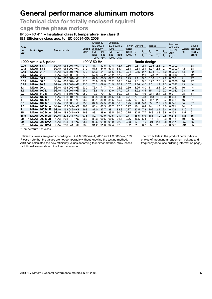# **Technical data for totally enclosed squirrel**

# **cage three phase motors**

# **IP 55 – IC 411 – Insulation class F, temperature rise class B**

**IE1 Efficiency class acc. to IEC 60034-30; 2008**

| Out-      |                   |                      | Product code |                             | Speed       | Efficiency<br>IEC 60034-<br>$2 - 1$ ; 2007 |      | 1996 | Efficiency<br>IEC 60034-2: |                | Current<br>Power |     | Torque              |                         |                   | Moment<br>of inertia         | Weight | Sound<br>pressure |
|-----------|-------------------|----------------------|--------------|-----------------------------|-------------|--------------------------------------------|------|------|----------------------------|----------------|------------------|-----|---------------------|-------------------------|-------------------|------------------------------|--------|-------------------|
| put<br>kW | Motor type        |                      |              |                             | r/min       | Full                                       | 3/4  | Full | 3/4                        | $\cos \varphi$ | $I_{N}$          |     | $\mathbf{I}_{N}$    | $T_{\rm s}$             | ' max             | $J = 1/4$<br>GD <sup>2</sup> | kg     | level LP          |
|           |                   |                      |              |                             |             | load                                       | load | load | load                       | 100%           | $\overline{A}$   |     | <b>Nm</b>           | $\mathsf{T}_{_{\sf N}}$ | ${\sf T}_{\sf N}$ | kgm <sup>2</sup>             |        | dB(A)             |
|           |                   |                      |              |                             | 400 V 50 Hz | 100%                                       | 75%  | 100% | 75%                        |                |                  |     |                     |                         |                   |                              |        |                   |
|           |                   | 1000 r/min = 6-poles |              |                             |             |                                            |      |      |                            |                |                  |     | <b>Basic design</b> |                         |                   |                              |        |                   |
| 0.09      | <b>M2AA 63 A</b>  |                      | 3GAA         | 063 001- $\bullet$ C        | 910         | 47.1                                       | 42.5 | 47.4 | 42.7                       | 0.56           | 0.51             | 2.1 | 0.95                | 2.1                     | 2.1               | 0.0002                       | 4      | 38                |
| 0.12      | <b>M2AA 63 B</b>  |                      | 3GAA         | 063 002- $\bullet$ C        | 910         | 57.5                                       | 54.0 | 57.8 | 54.4                       | 0.58           | 0.54             | 2.1 | 1.27                | 2.1                     | 2.1               | 0.00027                      | 4.5    | 38                |
| 0.18      | <b>M2AA 71 A</b>  |                      | 3GAA         | 073 001- $\bullet\bullet$ E | 870         | 55.3                                       | 54.7 | 55.6 | 54.9                       | 0.74           | 0.65             | 2.7 | 1.98                | 1.9                     | 1.9               | 0.00092                      | 5.5    | 42                |
| 0.25      | <b>M2AA 71 B</b>  |                      | 3GAA         | 073 002- $\bullet\bullet$ E | 875         | 57.8                                       | 57.2 | 58.2 | 57.7                       | 0.72           | 0.9              | 2.9 | 2.73                | 2.3                     | 2.3               | 0.0012                       | 6.5    | 42                |
| 0.37      | <b>M2AA 80 A</b>  |                      | 3GAA         | 083 001- $\bullet$ E        | 910         | 67.0                                       | 66.5 | 67.2 | 66.7                       | 0.75           | 1.1              | 3.6 | 3.88                | 1.8                     | 2.2               | 0.002                        | 9      | 47                |
| 0.55      | <b>M2AA 80 B</b>  |                      | 3GAA         | 083 002- $\cdot$ •E         | 910         | 70.0                                       | 69.3 | 70.2 | 69.5                       | 0.74           | 1.6              | 3.5 | 5.77                | 2.0                     | 2.1               | 0.0026                       | 10     | 47                |
| 0.75      | <b>M2AA 90 S</b>  |                      | 3GAA         | 093 001- $\cdot$ E          | 930         | 70.2                                       | 69.8 | 71.5 | 70.7                       | 0.67           | 2.36             | 4.0 | 7.5                 | 1.9                     | 2.3               | 0.0032                       | 13     | 44                |
| 1.1       | <b>M2AA 90 L</b>  |                      | 3GAA         | 093 002- $\bullet\bullet$ E | 930         | 73.4                                       | 71.7 | 74.4 | 72.5                       | 0.69           | 3.25             | 4.0 | 11                  | 2.1                     | 2.4               | 0.0043                       | 16     | 44                |
| 1.5       | <b>M2AA 100 L</b> |                      | 3GAA         | 103 001- $\bullet\bullet$ E | 950         | 78.8                                       | 76.3 | 80.0 | 77.0                       | 0.71           | 3.92             | 4.5 | 15                  | 1.9                     | 2.3               | 0.0082                       | 23     | 49                |
| 2.2       |                   | <b>M2AA 112 M</b>    | 3GAA         | 113 101-••E                 | 950         | 79.3                                       | 79.7 | 80.1 | 80.2                       | 0.67           | 5.9              | 4.6 | 22.1                | 2.4                     | 2.8               | 0.01                         | 28     | 54                |
| 3         | M2AA              | <b>132 S</b>         | 3GAA         | 133 001- $\bullet\bullet$ E | 960         | 82.5                                       | 82.8 | 84.5 | 84.6                       | 0.71           | 7.6              | 4.3 | 29.8                | 1.8                     | 2.4               | 0.031                        | 39     | 57                |
| 4         | M2AA              | 132 MA               | 3GAA         | 133 002- $\bullet\bullet$ E | 960         | 83.1                                       | 82.9 | 85.5 | 85.7                       | 0.75           | 9.2              | 5.1 | 39.7                | 2.0                     | 2.7               | 0.038                        | 46     | 61                |
| 5.5       |                   | <b>M2AA 132 MB</b>   | 3GAA         | 133 003-••E                 | 955         | 84.0                                       | 84.5 | 86.0 | 86.3                       | 0.75           | 12.8             | 5.3 | 55                  | 2.2                     | 2.6               | 0.045                        | 54     | 57                |
| 7.5       | M2AA              | <b>160 MLA</b>       | 3GAA         | 163 041- $\bullet$ G        | 968         | 85.4                                       | 86.3 | 86.7 | 87.6                       | 0.77           | 16.1             | 6.4 | 74                  | 1.8                     | 3.0               | 0.071                        | 84     | 61                |
| 11        | M2AA              | <b>160 MLB</b>       | 3GAA         | 163 042- $\bullet$ G        | 968         | 87.0                                       | 87.7 | 88.1 | 88.8                       | 0.77           | 23.5             | 7.3 | 109                 | 2.1                     | 3.4               | 0.102                        | 110    | 61                |
| 15        | M2AA              | <b>180 MLA</b>       | 3GAA         | 183 041- $\bullet$ G        | 968         | 88.1                                       | 88.6 | 89.5 | 90.0                       | 0.75           | 32.5             | 7.7 | 148                 | 2.3                     | 3.8               | 0.139                        | 137    | 61                |
| 18.5      | M2AA              | <b>200 MLA</b>       | 3GAA         | 203 041- $\bullet$ G        | 975         | 89.1                                       | 90.0 | 90.5 | 91.4                       | 0.77           | 38.5             | 5.9 | 181                 | 1.9                     | 2.5               | 0.218                        | 186    | 65                |
| 22        |                   | <b>M2AA 200 MLB</b>  | 3GAA         | 203 042-••G                 | 969         | 89.3                                       | 90.5 | 90.5 | 91.7                       | 0.76           | 46.5             | 5.4 | 217                 | 1.8                     | 2.3               | 0.218                        | 198    | 65                |
| 30        | M2AA              | <b>225 SMA</b>       | 3GAA         | $223041 - \cdot G$          | 985         | 90.6                                       | 91.0 | 91.9 | 92.3                       | 0.83           | 57               | 7.0 | 291                 | 2.4                     | 2.8               | 0.547                        | 257    | 65                |
| 37        | M2AA              | <b>250 SMA</b>       | 3GAA         | 253 041-••G                 | 985         | 91.2                                       | 91.6 | 92.4 | 92.8                       | 0.82           | 71               | 6.7 | 359                 | 2.3                     | 2.7               | 0.728                        | 291    | 65                |
|           |                   |                      |              |                             |             |                                            |      |      |                            |                |                  |     |                     |                         |                   |                              |        |                   |

<sup>1)</sup> Temperature rise class F.

Efficiency values are given according to IEC/EN 60034-2-1; 2007 and IEC 60034-2; 1996. Please note that the values are not comparable without knowing the testing method. ABB has calculated the new efficiency values according to indirect method. stray losses (additional losses) determined from measuring.

The two bullets in the product code indicate choice of mounting arrangement. voltage and frequency code (see ordering information page).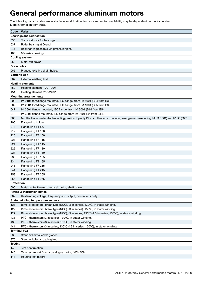The following variant codes are available as modification from stocked motor, availability may be dependent on the frame size. More information from ABB.

| Code                 | Variant                                                                                                                                  |
|----------------------|------------------------------------------------------------------------------------------------------------------------------------------|
|                      | <b>Bearings and Lubrication</b>                                                                                                          |
| 036                  | Transport lock for bearings.                                                                                                             |
| 037                  | Roller bearing at D-end.                                                                                                                 |
| 041                  | Bearings regreasable via grease nipples.                                                                                                 |
| 188                  | 63-series bearings.                                                                                                                      |
|                      | <b>Cooling system</b>                                                                                                                    |
| 053                  | Metal fan cover.                                                                                                                         |
| <b>Drain holes</b>   |                                                                                                                                          |
| 065                  | Plugged existing drain holes.                                                                                                            |
| <b>Earthing Bolt</b> |                                                                                                                                          |
| 067                  | External earthing bolt.                                                                                                                  |
|                      | <b>Heating elements</b>                                                                                                                  |
| 450                  | Heating element, 100-120V.                                                                                                               |
| 451                  | Heating element, 200-240V.                                                                                                               |
|                      | <b>Mounting arrangements</b>                                                                                                             |
| 008                  | IM 2101 foot/flange mounted, IEC flange, from IM 1001 (B34 from B3).                                                                     |
| 009                  | IM 2001 foot/flange mounted, IEC flange, from IM 1001 (B35 from B3).                                                                     |
| 047                  | IM 3601 flange mounted, IEC flange, from IM 3001 (B14 from B5).                                                                          |
| 048                  | IM 3001 flange mounted, IEC flange, from IM 3601 (B5 from B14).                                                                          |
| 066                  | Modified for non-standard mounting position. Specify IM xxxx. Use for all mounting arrangements excluding IM B3 (1001) and IM B5 (3001). |
| 200                  | Flange ring holder.                                                                                                                      |
| 218                  | Flange ring FT 85.                                                                                                                       |
| 219                  | Flange ring FT 100.                                                                                                                      |
| 220                  | Flange ring FF 100.                                                                                                                      |
| 223                  | Flange ring FF 115.                                                                                                                      |
| 224                  | Flange ring FT 115.                                                                                                                      |
| 226                  | Flange ring FF 130.                                                                                                                      |
| 227                  | Flange ring FT 130.                                                                                                                      |
| 233                  | Flange ring FF 165.                                                                                                                      |
| 234                  | Flange ring FT 165.                                                                                                                      |
| 243                  | Flange ring FF 215.                                                                                                                      |
| 244                  | Flange ring FT 215.                                                                                                                      |
| 253                  | Flange ring FF 265.                                                                                                                      |
| 254                  | Flange ring FT 265.                                                                                                                      |
| <b>Protection</b>    |                                                                                                                                          |
| 005                  | Metal protective roof, vertical motor, shaft down.                                                                                       |
|                      | Rating & instruction plates                                                                                                              |
| 002                  | Restamping voltage, frequency and output, continuous duty.                                                                               |
|                      | <b>Stator winding temperature sensors</b>                                                                                                |
| 121                  | Bimetal detectors, break type (NCC), (3 in series), 130°C, in stator winding.                                                            |
| 122                  | Bimetal detectors, break type (NCC), (3 in series), 150°C, in stator winding.                                                            |
| 127                  | Bimetal detectors, break type (NCC), (3 in series, 130°C & 3 in series, 150°C), in stator winding.                                       |
| 435                  | PTC - thermistors (3 in series), 130°C, in stator winding.                                                                               |
| 436                  | PTC - thermistors (3 in series), 150°C, in stator winding.                                                                               |
| 441                  | PTC - thermistors (3 in series, 130°C & 3 in series, 150°C), in stator winding.                                                          |
| <b>Terminal box</b>  |                                                                                                                                          |
| 230                  | Standard metal cable glands.                                                                                                             |
| 375                  | Standard plastic cable gland                                                                                                             |
| <b>Testing</b>       |                                                                                                                                          |
| 140                  | Test confirmation.                                                                                                                       |
| 145                  | Type test report from a catalogue motor, 400V 50Hz.                                                                                      |
| 148                  | Routine test report.                                                                                                                     |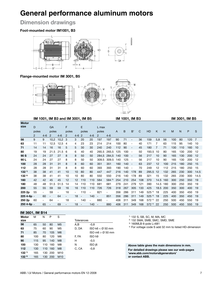# **Dimension drawings**

# **Foot-mounted motor IM1001, B3**



# **Flange-mounted motor IM 3001, B5**



|              |               |                          |       |                          | IM 1001, IM B3 and IM 3001, IM B5 |                          |                |         |                          |         |     | IM 1001, IM B3 |                          |     |           |      |     |     | IM 3001, IM B5 |     |                |
|--------------|---------------|--------------------------|-------|--------------------------|-----------------------------------|--------------------------|----------------|---------|--------------------------|---------|-----|----------------|--------------------------|-----|-----------|------|-----|-----|----------------|-----|----------------|
| <b>Motor</b> |               |                          |       |                          |                                   |                          |                |         |                          |         |     |                |                          |     |           |      |     |     |                |     |                |
| size         | D             |                          | GA    |                          | F                                 |                          | E              |         | L max                    |         |     |                |                          |     |           |      |     |     |                |     |                |
|              | poles         |                          | poles |                          | poles                             |                          | poles          |         | poles                    |         | Α   | B              | B'                       | C   | HD        | Κ    | H   | M   | N              | P   | S              |
|              | $\mathcal{P}$ | $4 - 6$                  | 2     | $4 - 6$                  | 2                                 | $4 - 6$                  | $\overline{2}$ | $4 - 6$ | 2                        | $4 - 6$ |     |                |                          |     |           |      |     |     |                |     |                |
| 56           | 9             | 9                        | 10,2  | 10,2                     | 3                                 | 3                        | 20             | 20      | 197                      | 197     | 90  | 71             | -                        | 36  | 159       | 5,8  | 56  | 100 | 80             | 120 | $\overline{7}$ |
| 63           | 11            | 11                       | 12,5  | 12,5                     | 4                                 | 4                        | 23             | 23      | 214                      | 214     | 100 | 80             | ۰                        | 40  | 171       | 7    | 63  | 115 | 95             | 140 | 10             |
| 71           | 14            | 14                       | 16    | 16                       | 5                                 | 5                        | 30             | 30      | 240                      | 240     | 112 | 90             | $\overline{\phantom{0}}$ | 45  | 180       | 7    | 71  | 130 | 110            | 160 | 10             |
| 80           | 19            | 19                       | 21.5  | 21.5                     | 6                                 | 6                        | 40             | 40      | 265.5                    | 265.5   | 125 | 100            | $\overline{\phantom{a}}$ | 50  | 193.5     | 10   | 80  | 165 | 130            | 200 | 12             |
| 90 S         | 24            | 24                       | 27    | 27                       | 8                                 | 8                        | 50             | 50      | 284,5                    | 284,5   | 140 | 100            | $\sim$                   | 56  | 217       | 10   | 90  | 165 | 130            | 200 | 12             |
| 90 L         | 24            | 24                       | 27    | 27                       | 8                                 | 8                        | 50             | 50      | 309.5                    | 309.5   | 140 | 125            | $\overline{\phantom{a}}$ | 56  | 217       | 10   | 90  | 165 | 130            | 200 | 12             |
| 100          | 28            | 28                       | 31    | 31                       | 8                                 | 8                        | 60             | 60      | 351                      | 351     | 160 | 140            | $\overline{\phantom{a}}$ | 63  | 237       | 12   | 100 | 215 | 180            | 250 | 15             |
| 112          | 28            | 28                       | 31    | 31                       | 8                                 | 8                        | 60             | 60      | 393                      | 393     | 190 | 140            | $\overline{\phantom{a}}$ | 70  | 249       | 12   | 112 | 215 | 180            | 250 | 15             |
| $132^{11}$   | 38            | 38                       | 41    | 41                       | 10                                | 10                       | 80             | 80      | 447                      | 447     | 216 | 140            | 178                      | 89  | 295.5     | 12   | 132 | 265 | 230            | 300 | 14.5           |
| $132^{2}$    | 38            | 38                       | 41    | 41                       | 10                                | 10                       | 80             | 80      | 550                      | 550     | 216 | 140            | 178                      | 89  | 321       | 15   | 132 | 265 | 230            | 300 | 14.5           |
| 160          | 42            | 42                       | 45    | 45                       | 12                                | $12 \overline{ }$        | 110            | 110     | 584                      | 584 3)  | 254 | 210            | 254                      | 108 | 370       | 14.5 | 160 | 300 | 250            | 350 | 19             |
| 180          | 48            | 48                       | 51.5  | 51.5                     | 14                                | 14                       | 110            | 110     | 681                      | 681     | 279 | 241            | 279                      | 121 | 390       | 14.5 | 180 | 300 | 250            | 350 | 19             |
| 200          | 55            | 55                       | 59    | 59                       | 16                                | 16                       | 110            | 110     | 726                      | 726     | 318 | 267            | 305                      | 133 | 425       | 18.5 | 200 | 350 | 300            | 400 | 19             |
| 225 2p       | 55            | $\overline{a}$           | 59    | $\overline{\phantom{a}}$ | 16                                | $\overline{\phantom{0}}$ | 110            |         | 821                      | -       | 356 | 286            | 311                      | 149 | $525^{4}$ | 18   | 225 | 400 | 350            | 450 | 19             |
| 225 4-6p -   |               | 60                       |       | 64                       | -                                 | 18                       |                | 140     | $\overline{\phantom{a}}$ | 851     | 356 | 286            | 311                      | 149 | $525^{4}$ | 18   | 225 | 400 | 350            | 450 | 19             |
| 250 2p       | 60            | $\overline{\phantom{a}}$ | 64    | $\overline{\phantom{a}}$ | 18                                | Ξ.                       | 140            |         | 880                      | ۰       | 406 | 311            | 349                      | 168 | $572^{4}$ | 22   | 250 | 500 | 450            | 550 | 19             |
| 250 4-6p -   |               | 65                       |       | 69                       |                                   | 18                       | $\blacksquare$ | 140     | $\blacksquare$           | 880     | 406 | 311            | 349                      | 168 | 572 4)    | 22   | 250 | 500 | 450            | 550 | 19             |

## **IM 3601, IM B14**

| Motor            | М   | N   | P   | S              |            |                  |
|------------------|-----|-----|-----|----------------|------------|------------------|
| size             |     |     |     |                | Tolerances |                  |
| 56               | 65  | 50  | 80  | M <sub>5</sub> | A.B        | $-0,8$           |
| 63               | 75  | 60  | 90  | M5             | D, DA      | ISO k6           |
| 71               | 85  | 70  | 105 | M6             |            | ISO <sub>m</sub> |
| 80               | 100 | 80  | 120 | M6             | F, FA      | ISO h9           |
| 90               | 115 | 95  | 140 | M8             | н          | $-0,5$           |
| 100              | 130 | 110 | 160 | M8             | Ν          | ISO j6           |
| 112              | 130 | 110 | 160 | M8             | C. CA      | $-0,8$           |
| 132 <sup>1</sup> | 165 | 130 | 200 | M10            |            |                  |
| $132^{2}$        | 165 | 130 | 200 | M10            |            |                  |



- 1) 132 S, SB, SC, M, MA, MC
	- 2) 132 SMA, SMB, SMC, SMD, SME
- 3) 160MLB 6-pole L=681

4) For voltage code S add 32 mm to listed HD-dimension

**Above table gives the main dimensions in mm. For detailed drawings please see our web-pages 'www.abb.com/motors&generators' or contact ABB.**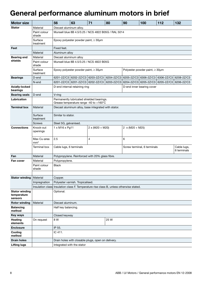# **General performance aluminum motors in brief**

| <b>Motor size</b>                               |                                | 56<br>63                                                                            | 71 | 80                                                                                                    | 90                                      | 100 | 112 | 132                        |  |  |
|-------------------------------------------------|--------------------------------|-------------------------------------------------------------------------------------|----|-------------------------------------------------------------------------------------------------------|-----------------------------------------|-----|-----|----------------------------|--|--|
| <b>Stator</b>                                   | Material                       | Diecast aluminum alloy.                                                             |    |                                                                                                       |                                         |     |     |                            |  |  |
|                                                 | Paint colour<br>shade          |                                                                                     |    | Munsell blue 8B 4.5/3.25 / NCS 4822 B05G / RAL 5014                                                   |                                         |     |     |                            |  |  |
|                                                 | Surface                        | Epoxy polyester powder paint, $\geq 30 \mu m$                                       |    |                                                                                                       |                                         |     |     |                            |  |  |
| Feet                                            | treatment                      | Fixed feet.                                                                         |    |                                                                                                       |                                         |     |     |                            |  |  |
|                                                 | Material                       | Aluminum alloy                                                                      |    |                                                                                                       |                                         |     |     |                            |  |  |
| <b>Bearing end</b>                              | Material                       | Diecast aluminum alloy                                                              |    |                                                                                                       |                                         |     |     |                            |  |  |
| shields                                         | Paint colour<br>shade          | Munsell blue 8B 4.5/3.25 / NCS 4822 B05G                                            |    |                                                                                                       |                                         |     |     |                            |  |  |
|                                                 | Surface<br>treatment           | Epoxy polyester powder paint, $\geq 30 \mu m$                                       |    |                                                                                                       | Polyester powder paint, $\geq 30 \mu m$ |     |     |                            |  |  |
| <b>Bearings</b>                                 | D-end                          |                                                                                     |    | 6201-2Z/C3   6202-2Z/C3   6203-2Z/C3   6204-2Z/C3   6205-2Z/C3   6306-2Z/C3   6306-2Z/C3   6208-2Z/C3 |                                         |     |     |                            |  |  |
|                                                 | $N$ -end                       |                                                                                     |    | 6201-2Z/C3 6201-2Z/C3 6202-2Z/C3 6203-2Z/C3 6204-2Z/C3 6205-2Z/C3 6205-2Z/C3 6206-2Z/C3               |                                         |     |     |                            |  |  |
| <b>Axially-locked</b><br>bearings               |                                | D-end internal retaining ring                                                       |    |                                                                                                       | D-end inner bearing cover               |     |     |                            |  |  |
| <b>Bearing seals</b>   D-end                    |                                | $ V\text{-ring}$                                                                    |    |                                                                                                       |                                         |     |     |                            |  |  |
| Lubrication                                     |                                | Permanently lubricated shielded bearings.<br>Grease temperature range -40 to +160°C |    |                                                                                                       |                                         |     |     |                            |  |  |
| <b>Terminal box</b>                             | Material                       |                                                                                     |    | Diecast aluminum alloy, base integrated with stator.                                                  |                                         |     |     |                            |  |  |
|                                                 | Surface<br>treatment           | Similar to stator.                                                                  |    |                                                                                                       |                                         |     |     |                            |  |  |
|                                                 | Screws                         | Steel 5G, galvanised.                                                               |    |                                                                                                       |                                         |     |     |                            |  |  |
| <b>Connections</b>                              | Knock-out<br>openings          | 1 x M16 x Pg11                                                                      |    | $2 \times (M20 + M20)$                                                                                | $2 \times (M20 + M25)$                  |     |     |                            |  |  |
|                                                 | Max Cu-area<br>mm <sup>2</sup> | $\vert$ 2.5                                                                         |    |                                                                                                       | 6                                       |     |     |                            |  |  |
|                                                 | Terminal box                   | Cable lugs, 6 terminals                                                             |    |                                                                                                       | Screw terminal, 6 terminals             |     |     | Cable lugs,<br>6 terminals |  |  |
| Fan                                             | Material                       | Polypropylene. Reinforced with 20% glass fibre.                                     |    |                                                                                                       |                                         |     |     |                            |  |  |
| Fan cover                                       | Material                       | Polypropylene.                                                                      |    |                                                                                                       |                                         |     |     |                            |  |  |
|                                                 | Paint colour<br>shade          | <b>Black</b>                                                                        |    |                                                                                                       |                                         |     |     |                            |  |  |
| Stator winding   Material                       |                                | Copper.                                                                             |    |                                                                                                       |                                         |     |     |                            |  |  |
|                                                 |                                | Impregnation   Polyester varnish. Tropicalised.                                     |    |                                                                                                       |                                         |     |     |                            |  |  |
|                                                 |                                |                                                                                     |    | Insulation class Insulation class F. Temperature rise class B, unless otherwise stated.               |                                         |     |     |                            |  |  |
| <b>Stator winding</b><br>temperature<br>sensors |                                | Optional.                                                                           |    |                                                                                                       |                                         |     |     |                            |  |  |
| Rotor winding   Material                        |                                | Diecast aluminum.                                                                   |    |                                                                                                       |                                         |     |     |                            |  |  |
| <b>Balancing</b><br>method                      |                                | Half key balancing.                                                                 |    |                                                                                                       |                                         |     |     |                            |  |  |
| <b>Key ways</b>                                 |                                | Closed keyway                                                                       |    |                                                                                                       |                                         |     |     |                            |  |  |
| Heating<br>elements                             | On request                     | 8 W                                                                                 |    | 25 W                                                                                                  |                                         |     |     |                            |  |  |
| <b>Enclosure</b>                                |                                | IP 55.                                                                              |    |                                                                                                       |                                         |     |     |                            |  |  |
| Cooling<br>method                               |                                | IC 411.                                                                             |    |                                                                                                       |                                         |     |     |                            |  |  |
| <b>Drain holes</b>                              |                                | Drain holes with closable plugs, open on delivery.                                  |    |                                                                                                       |                                         |     |     |                            |  |  |
| <b>Lifting lugs</b>                             |                                | Integrated with the stator                                                          |    |                                                                                                       |                                         |     |     |                            |  |  |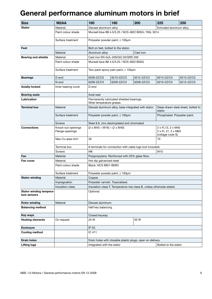# **General performance aluminum motors in brief**

| <b>Size</b>                             | M <sub>2</sub> AA                     | 160                         | 180                                             | 200                                                                    | 225                                                         | 250                               |
|-----------------------------------------|---------------------------------------|-----------------------------|-------------------------------------------------|------------------------------------------------------------------------|-------------------------------------------------------------|-----------------------------------|
| <b>Stator</b>                           | Material                              | Diecast aluminum alloy      |                                                 |                                                                        | Extruded aluminum alloy.                                    |                                   |
|                                         | Paint colour shade                    |                             |                                                 | Munsell blue 8B 4.5/3.25 / NCS 4822 B05G / RAL 5014                    |                                                             |                                   |
|                                         | Surface treatment                     |                             | Polyester powder paint, ≥ 100µm                 |                                                                        |                                                             |                                   |
| Feet                                    |                                       |                             | Bolt on feet, bolted to the stator.             |                                                                        |                                                             |                                   |
|                                         | Material                              | Aluminum alloy              |                                                 | Cast iron                                                              |                                                             |                                   |
| <b>Bearing end shields</b>              | Material                              |                             | Cast iron EN-GJL-200/GG 20/GRS 200              |                                                                        |                                                             |                                   |
|                                         | Paint colour shade                    |                             | Munsell blue 8B 4.5/3.25 / NCS 4822 B05G        |                                                                        |                                                             |                                   |
|                                         | Surface treatment                     |                             | Two-pack epoxy pain paint, ≥ 100µm              |                                                                        |                                                             |                                   |
| <b>Bearings</b>                         | $D$ -end                              | 6209-2Z/C3                  | 6210-2Z/C3                                      | 6212-2Z/C3                                                             | 6213-2Z/C3                                                  | 6215-2Z/C3                        |
|                                         | N-end                                 | 6209-2Z/C3                  | 6209-2Z/C3                                      | 6209-2Z/C3                                                             | 6210-2Z/C3                                                  | 6212-2Z/C3                        |
| Axially-locked                          | Inner bearing cover                   | D-end                       |                                                 |                                                                        |                                                             |                                   |
| <b>Bearing seals</b>                    |                                       | Axial seal                  |                                                 |                                                                        |                                                             |                                   |
| Lubrication                             |                                       | Wide temperature grease.    | Permanently lubricated shielded bearings.       |                                                                        |                                                             |                                   |
| <b>Terminal box</b>                     | Material                              |                             |                                                 | Diecast aluminum alloy, base integrated with stator.                   | stator.                                                     | Deep-drawn steel sheet, bolted to |
|                                         | Surface treatment                     |                             | Polyester powder paint, ≥ 100µm                 |                                                                        | Phosphated. Polyester paint.                                |                                   |
|                                         | Screws                                |                             | Steel 8.8, zinc electroplated and chromated     |                                                                        |                                                             |                                   |
| <b>Connections</b>                      | Knock-out openings<br>Flange-openings |                             | $(2 \times M40 + M16) + (2 \times M40)$         |                                                                        | 2 x FL13, 2 x M40<br>2 x FL 21, 2 x M63<br>(voltage code S) |                                   |
|                                         | Max Cu-area mm <sup>2</sup>           | 35                          |                                                 |                                                                        | 70                                                          |                                   |
|                                         | Terminal box                          |                             |                                                 | 6 terminals for connection with cable lugs (not included)              |                                                             |                                   |
|                                         | Screws                                | M <sub>6</sub>              |                                                 |                                                                        | M10                                                         |                                   |
| Fan                                     | Material                              |                             | Polypropylene. Reinforced with 20% glass fibre. |                                                                        |                                                             |                                   |
| Fan cover                               | Material                              | Hot dip galvanized steel    |                                                 |                                                                        |                                                             |                                   |
|                                         | Paint colour shade                    | <b>Black, NCS 8801-B09G</b> |                                                 |                                                                        |                                                             |                                   |
|                                         | Surface treatment                     |                             | Polyester powder paint, $\geq 100 \mu m$        |                                                                        |                                                             |                                   |
| <b>Stator winding</b>                   | Material                              | Copper.                     |                                                 |                                                                        |                                                             |                                   |
|                                         | Impregnation                          |                             | Polyester varnish. Tropicalised.                |                                                                        |                                                             |                                   |
|                                         | Insulation class                      |                             |                                                 | Insulation class F. Temperature rise class B, unless otherwise stated. |                                                             |                                   |
| Stator winding tempera-<br>ture sensors |                                       | Optional.                   |                                                 |                                                                        |                                                             |                                   |
| <b>Rotor winding</b>                    | Material                              | Diecast aluminum.           |                                                 |                                                                        |                                                             |                                   |
| <b>Balancing method</b>                 |                                       | Half key balancing.         |                                                 |                                                                        |                                                             |                                   |
| <b>Key ways</b>                         |                                       | Closed keyway               |                                                 |                                                                        |                                                             |                                   |
| <b>Heating elements</b>                 | On request                            | 25 W                        |                                                 | 50 W                                                                   |                                                             |                                   |
| <b>Enclosure</b>                        |                                       | IP 55.                      |                                                 |                                                                        |                                                             |                                   |
| <b>Cooling method</b>                   |                                       | IC 411.                     |                                                 |                                                                        |                                                             |                                   |
| <b>Drain holes</b>                      |                                       |                             |                                                 | Drain holes with closable plastic plugs, open on delivery.             |                                                             |                                   |
| <b>Lifting lugs</b>                     |                                       | Integrated with the stator  |                                                 |                                                                        | Bolted to the stator                                        |                                   |
|                                         |                                       |                             |                                                 |                                                                        |                                                             |                                   |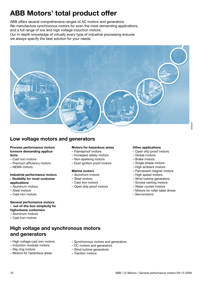# **ABB Motors' total product offer**

ABB offers several comprehensive ranges of AC motors and generators. We manufacture synchronous motors for even the most demanding applications, and a full range of low and high voltage induction motors. Our in-depth knowledge of virtually every type of industrial processing ensures we always specify the best solution for your needs.



# **Low voltage motors and generators**

### **Process performance motors formore demanding applica‑ tions**

- Cast iron motors
- Premium efficiency motors
- NEMA motors

### **Industrial performance motors - flexibility for most customer applications**

- Aluminum motors
- Steel motors
- Cast iron motors

# **General performance motors - out-of-the-box simplicity for**

#### **highvolume customers**

- Aluminum motors
- Cast iron motors

# **High voltage and synchronous motors and generators**

- High voltage cast iron motors
- Induction modular motors
- Slip ring motors
- Motors for hazardous areas

## **Motors for hazardous areas**

- Flameproof motors
- Increased safety motors
- Non-sparking motors
- Dust ignition proof motors

## **Marine motors**

- Aluminum motors
- Steel motors
- Cast iron motors
- Open drip proof motors

– Synchronous motors and generators

– DC motors and generators – Wind turbine generators

– Traction motors

## **Other applications**

- Open drip proof motors
- Global motors
- Brake motors
- Single phase motors
- High ambient motors
- Permanent magnet motors
- High speed motors
- Wind turbine generators
- Smoke venting motors
- Water cooled motors
- Motors for roller table drives
- Servomotors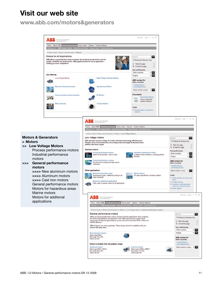# **Visit our web site**

**www.abb.com/motors&generators**